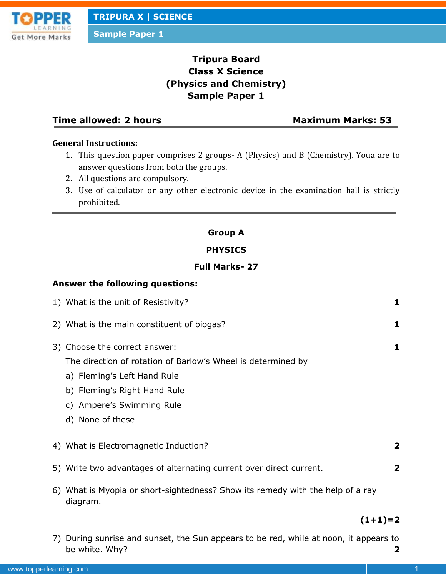

**Sample Paper 1**

# **Tripura Board Class X Science (Physics and Chemistry) Sample Paper 1**

# **Time allowed: 2 hours Maximum Marks: 53**

# **General Instructions:**

- 1. This question paper comprises 2 groups- A (Physics) and B (Chemistry). Youa are to answer questions from both the groups.
- 2. All questions are compulsory.
- 3. Use of calculator or any other electronic device in the examination hall is strictly prohibited.

## **Group A**

## **PHYSICS**

## **Full Marks- 27**

## **Answer the following questions:**

| 1) What is the unit of Resistivity?                                                                                                                                                                           | 1            |
|---------------------------------------------------------------------------------------------------------------------------------------------------------------------------------------------------------------|--------------|
| 2) What is the main constituent of biogas?                                                                                                                                                                    | 1            |
| 3) Choose the correct answer:<br>The direction of rotation of Barlow's Wheel is determined by<br>a) Fleming's Left Hand Rule<br>b) Fleming's Right Hand Rule<br>c) Ampere's Swimming Rule<br>d) None of these | 1            |
| 4) What is Electromagnetic Induction?                                                                                                                                                                         | 2            |
| 5) Write two advantages of alternating current over direct current.                                                                                                                                           | $\mathbf{2}$ |
| 6) What is Myopia or short-sightedness? Show its remedy with the help of a ray<br>diagram.                                                                                                                    |              |

# **(1+1)=2**

7) During sunrise and sunset, the Sun appears to be red, while at noon, it appears to be white. Why? **2**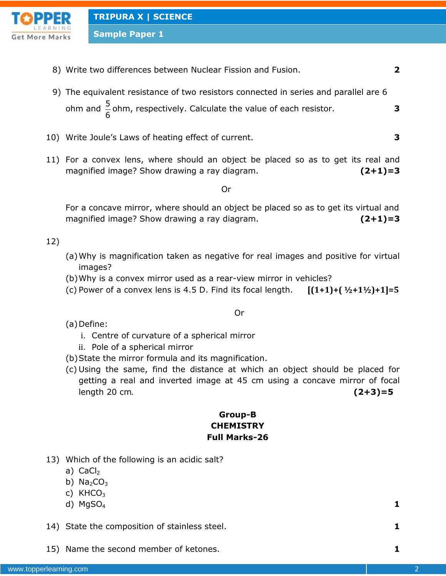

**Sample Paper 1**

- 8) Write two differences between Nuclear Fission and Fusion. **2**
- 9) The equivalent resistance of two resistors connected in series and parallel are 6 ohm and  $\frac{5}{6}$ 6 ohm, respectively. Calculate the value of each resistor. **3**
- 10) Write Joule's Laws of heating effect of current. **3**
- 11) For a convex lens, where should an object be placed so as to get its real and magnified image? Show drawing a ray diagram. **(2+1)=3**

Or

For a concave mirror, where should an object be placed so as to get its virtual and magnified image? Show drawing a ray diagram. **(2+1)=3**

### 12)

- (a)Why is magnification taken as negative for real images and positive for virtual images?
- (b)Why is a convex mirror used as a rear-view mirror in vehicles?
- (c) Power of a convex lens is 4.5 D. Find its focal length. **[(1+1)+( ½+1½)+1]=5**

Or

(a) Define:

- i. Centre of curvature of a spherical mirror
- ii. Pole of a spherical mirror
- (b)State the mirror formula and its magnification.
- (c) Using the same, find the distance at which an object should be placed for getting a real and inverted image at 45 cm using a concave mirror of focal length 20 cm. **(2+3)=5**

# **Group-B CHEMISTRY Full Marks-26**

- 13) Which of the following is an acidic salt?
	- a)  $CaCl<sub>2</sub>$
	- b)  $Na<sub>2</sub>CO<sub>3</sub>$
	- c)  $KHCO<sub>3</sub>$
	- d)  $MgSO_4$  **1**

- 14) State the composition of stainless steel. **1**
- 15) Name the second member of ketones. **1**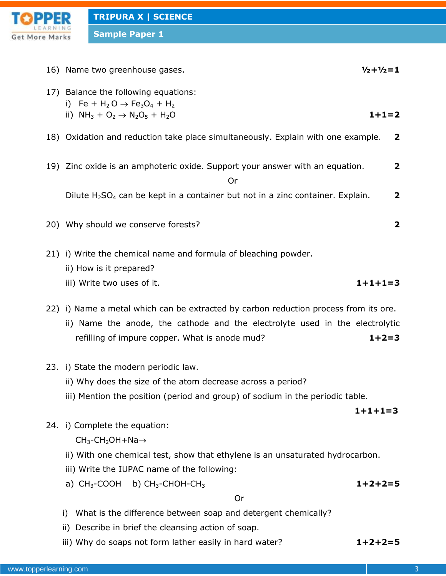

**Sample Paper 1**

| 16) Name two greenhouse gases.<br>$1/2 + 1/2 = 1$<br>17) Balance the following equations:<br>i) Fe + H <sub>2</sub> O $\rightarrow$ Fe <sub>3</sub> O <sub>4</sub> + H <sub>2</sub><br>ii) $NH_3 + O_2 \rightarrow N_2O_5 + H_2O$<br>$1+1=2$<br>18) Oxidation and reduction take place simultaneously. Explain with one example.<br>$\overline{\mathbf{2}}$<br>19) Zinc oxide is an amphoteric oxide. Support your answer with an equation.<br>$\overline{\mathbf{2}}$<br>Or<br>Dilute $H_2SO_4$ can be kept in a container but not in a zinc container. Explain.<br>$\overline{\mathbf{2}}$<br>20) Why should we conserve forests?<br>2<br>21) i) Write the chemical name and formula of bleaching powder.<br>ii) How is it prepared?<br>$1+1+1=3$<br>iii) Write two uses of it.<br>22) i) Name a metal which can be extracted by carbon reduction process from its ore.<br>ii) Name the anode, the cathode and the electrolyte used in the electrolytic<br>refilling of impure copper. What is anode mud?<br>$1+2=3$<br>23. i) State the modern periodic law.<br>ii) Why does the size of the atom decrease across a period?<br>iii) Mention the position (period and group) of sodium in the periodic table.<br>$1+1+1=3$<br>24. i) Complete the equation:<br>$CH_3$ -CH <sub>2</sub> OH+Na $\rightarrow$<br>ii) With one chemical test, show that ethylene is an unsaturated hydrocarbon.<br>iii) Write the IUPAC name of the following:<br>a) $CH_3$ -COOH<br>b) $CH3$ -CHOH-CH <sub>3</sub><br>$1+2+2=5$<br><b>Or</b><br>What is the difference between soap and detergent chemically?<br>i)<br>Describe in brief the cleansing action of soap.<br>ii)<br>$1+2+2=5$ |                                                         |  |
|---------------------------------------------------------------------------------------------------------------------------------------------------------------------------------------------------------------------------------------------------------------------------------------------------------------------------------------------------------------------------------------------------------------------------------------------------------------------------------------------------------------------------------------------------------------------------------------------------------------------------------------------------------------------------------------------------------------------------------------------------------------------------------------------------------------------------------------------------------------------------------------------------------------------------------------------------------------------------------------------------------------------------------------------------------------------------------------------------------------------------------------------------------------------------------------------------------------------------------------------------------------------------------------------------------------------------------------------------------------------------------------------------------------------------------------------------------------------------------------------------------------------------------------------------------------------------------------------------------------------------------------------------------------------------|---------------------------------------------------------|--|
|                                                                                                                                                                                                                                                                                                                                                                                                                                                                                                                                                                                                                                                                                                                                                                                                                                                                                                                                                                                                                                                                                                                                                                                                                                                                                                                                                                                                                                                                                                                                                                                                                                                                           |                                                         |  |
|                                                                                                                                                                                                                                                                                                                                                                                                                                                                                                                                                                                                                                                                                                                                                                                                                                                                                                                                                                                                                                                                                                                                                                                                                                                                                                                                                                                                                                                                                                                                                                                                                                                                           |                                                         |  |
|                                                                                                                                                                                                                                                                                                                                                                                                                                                                                                                                                                                                                                                                                                                                                                                                                                                                                                                                                                                                                                                                                                                                                                                                                                                                                                                                                                                                                                                                                                                                                                                                                                                                           |                                                         |  |
|                                                                                                                                                                                                                                                                                                                                                                                                                                                                                                                                                                                                                                                                                                                                                                                                                                                                                                                                                                                                                                                                                                                                                                                                                                                                                                                                                                                                                                                                                                                                                                                                                                                                           |                                                         |  |
|                                                                                                                                                                                                                                                                                                                                                                                                                                                                                                                                                                                                                                                                                                                                                                                                                                                                                                                                                                                                                                                                                                                                                                                                                                                                                                                                                                                                                                                                                                                                                                                                                                                                           |                                                         |  |
|                                                                                                                                                                                                                                                                                                                                                                                                                                                                                                                                                                                                                                                                                                                                                                                                                                                                                                                                                                                                                                                                                                                                                                                                                                                                                                                                                                                                                                                                                                                                                                                                                                                                           |                                                         |  |
|                                                                                                                                                                                                                                                                                                                                                                                                                                                                                                                                                                                                                                                                                                                                                                                                                                                                                                                                                                                                                                                                                                                                                                                                                                                                                                                                                                                                                                                                                                                                                                                                                                                                           |                                                         |  |
|                                                                                                                                                                                                                                                                                                                                                                                                                                                                                                                                                                                                                                                                                                                                                                                                                                                                                                                                                                                                                                                                                                                                                                                                                                                                                                                                                                                                                                                                                                                                                                                                                                                                           |                                                         |  |
|                                                                                                                                                                                                                                                                                                                                                                                                                                                                                                                                                                                                                                                                                                                                                                                                                                                                                                                                                                                                                                                                                                                                                                                                                                                                                                                                                                                                                                                                                                                                                                                                                                                                           |                                                         |  |
|                                                                                                                                                                                                                                                                                                                                                                                                                                                                                                                                                                                                                                                                                                                                                                                                                                                                                                                                                                                                                                                                                                                                                                                                                                                                                                                                                                                                                                                                                                                                                                                                                                                                           |                                                         |  |
|                                                                                                                                                                                                                                                                                                                                                                                                                                                                                                                                                                                                                                                                                                                                                                                                                                                                                                                                                                                                                                                                                                                                                                                                                                                                                                                                                                                                                                                                                                                                                                                                                                                                           |                                                         |  |
|                                                                                                                                                                                                                                                                                                                                                                                                                                                                                                                                                                                                                                                                                                                                                                                                                                                                                                                                                                                                                                                                                                                                                                                                                                                                                                                                                                                                                                                                                                                                                                                                                                                                           |                                                         |  |
|                                                                                                                                                                                                                                                                                                                                                                                                                                                                                                                                                                                                                                                                                                                                                                                                                                                                                                                                                                                                                                                                                                                                                                                                                                                                                                                                                                                                                                                                                                                                                                                                                                                                           |                                                         |  |
|                                                                                                                                                                                                                                                                                                                                                                                                                                                                                                                                                                                                                                                                                                                                                                                                                                                                                                                                                                                                                                                                                                                                                                                                                                                                                                                                                                                                                                                                                                                                                                                                                                                                           |                                                         |  |
|                                                                                                                                                                                                                                                                                                                                                                                                                                                                                                                                                                                                                                                                                                                                                                                                                                                                                                                                                                                                                                                                                                                                                                                                                                                                                                                                                                                                                                                                                                                                                                                                                                                                           |                                                         |  |
|                                                                                                                                                                                                                                                                                                                                                                                                                                                                                                                                                                                                                                                                                                                                                                                                                                                                                                                                                                                                                                                                                                                                                                                                                                                                                                                                                                                                                                                                                                                                                                                                                                                                           |                                                         |  |
|                                                                                                                                                                                                                                                                                                                                                                                                                                                                                                                                                                                                                                                                                                                                                                                                                                                                                                                                                                                                                                                                                                                                                                                                                                                                                                                                                                                                                                                                                                                                                                                                                                                                           |                                                         |  |
|                                                                                                                                                                                                                                                                                                                                                                                                                                                                                                                                                                                                                                                                                                                                                                                                                                                                                                                                                                                                                                                                                                                                                                                                                                                                                                                                                                                                                                                                                                                                                                                                                                                                           |                                                         |  |
|                                                                                                                                                                                                                                                                                                                                                                                                                                                                                                                                                                                                                                                                                                                                                                                                                                                                                                                                                                                                                                                                                                                                                                                                                                                                                                                                                                                                                                                                                                                                                                                                                                                                           |                                                         |  |
|                                                                                                                                                                                                                                                                                                                                                                                                                                                                                                                                                                                                                                                                                                                                                                                                                                                                                                                                                                                                                                                                                                                                                                                                                                                                                                                                                                                                                                                                                                                                                                                                                                                                           |                                                         |  |
|                                                                                                                                                                                                                                                                                                                                                                                                                                                                                                                                                                                                                                                                                                                                                                                                                                                                                                                                                                                                                                                                                                                                                                                                                                                                                                                                                                                                                                                                                                                                                                                                                                                                           |                                                         |  |
|                                                                                                                                                                                                                                                                                                                                                                                                                                                                                                                                                                                                                                                                                                                                                                                                                                                                                                                                                                                                                                                                                                                                                                                                                                                                                                                                                                                                                                                                                                                                                                                                                                                                           | iii) Why do soaps not form lather easily in hard water? |  |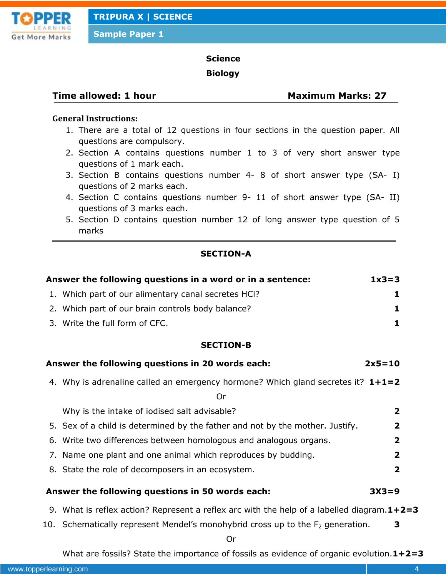

**Sample Paper 1**

## **Science**

#### **Biology**

# **Time allowed: 1 hour Maximum Marks: 27**

# **General Instructions:**

- 1. There are a total of 12 questions in four sections in the question paper. All questions are compulsory.
- 2. Section A contains questions number 1 to 3 of very short answer type questions of 1 mark each.
- 3. Section B contains questions number 4- 8 of short answer type (SA- I) questions of 2 marks each.
- 4. Section C contains questions number 9- 11 of short answer type (SA- II) questions of 3 marks each.
- 5. Section D contains question number 12 of long answer type question of 5 marks

# **SECTION-A**

| Answer the following questions in a word or in a sentence: |                                                                                               |                         |  |
|------------------------------------------------------------|-----------------------------------------------------------------------------------------------|-------------------------|--|
|                                                            | 1. Which part of our alimentary canal secretes HCI?                                           | 1                       |  |
|                                                            | 2. Which part of our brain controls body balance?                                             | 1                       |  |
|                                                            | 3. Write the full form of CFC.                                                                | 1                       |  |
|                                                            | <b>SECTION-B</b>                                                                              |                         |  |
|                                                            | Answer the following questions in 20 words each:                                              | $2x5=10$                |  |
|                                                            | 4. Why is adrenaline called an emergency hormone? Which gland secretes it? $1+1=2$<br>Or      |                         |  |
|                                                            | Why is the intake of iodised salt advisable?                                                  | $\overline{\mathbf{2}}$ |  |
|                                                            | 5. Sex of a child is determined by the father and not by the mother. Justify.                 | $\overline{2}$          |  |
|                                                            | 6. Write two differences between homologous and analogous organs.                             | $\overline{\mathbf{2}}$ |  |
|                                                            | 7. Name one plant and one animal which reproduces by budding.                                 | $\overline{\mathbf{2}}$ |  |
|                                                            | 8. State the role of decomposers in an ecosystem.                                             | $\overline{\mathbf{2}}$ |  |
|                                                            | Answer the following questions in 50 words each:                                              | $3X3=9$                 |  |
|                                                            | 9. What is reflex action? Represent a reflex arc with the help of a labelled diagram. $1+2=3$ |                         |  |
|                                                            | 10. Schematically represent Mendel's monohybrid cross up to the $F_2$ generation.<br>0r       | 3                       |  |

What are fossils? State the importance of fossils as evidence of organic evolution.**1+2=3**